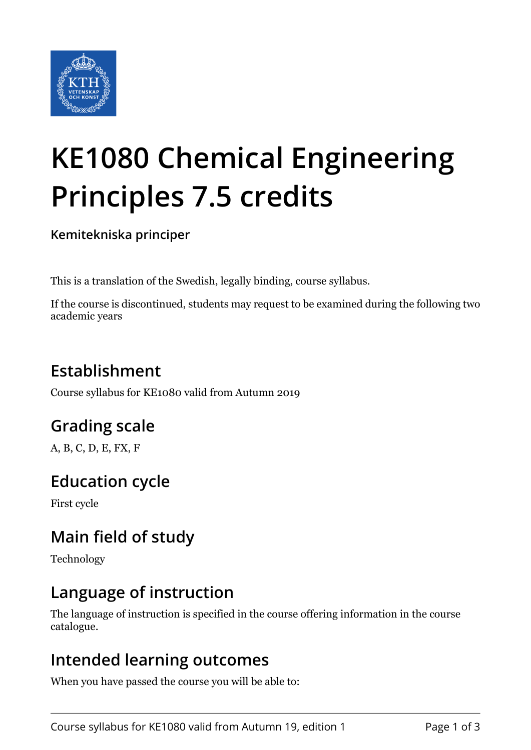

# **KE1080 Chemical Engineering Principles 7.5 credits**

**Kemitekniska principer**

This is a translation of the Swedish, legally binding, course syllabus.

If the course is discontinued, students may request to be examined during the following two academic years

# **Establishment**

Course syllabus for KE1080 valid from Autumn 2019

## **Grading scale**

A, B, C, D, E, FX, F

#### **Education cycle**

First cycle

## **Main field of study**

Technology

#### **Language of instruction**

The language of instruction is specified in the course offering information in the course catalogue.

#### **Intended learning outcomes**

When you have passed the course you will be able to: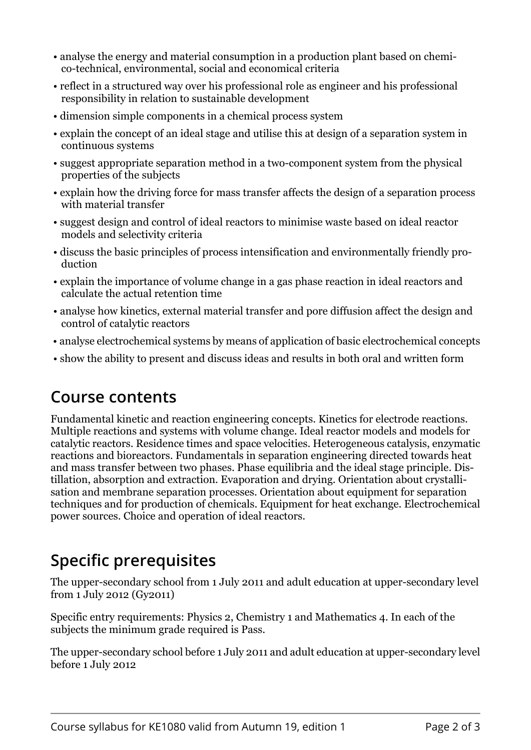- analyse the energy and material consumption in a production plant based on chemico-technical, environmental, social and economical criteria
- reflect in a structured way over his professional role as engineer and his professional responsibility in relation to sustainable development
- dimension simple components in a chemical process system
- explain the concept of an ideal stage and utilise this at design of a separation system in continuous systems
- suggest appropriate separation method in a two-component system from the physical properties of the subjects
- explain how the driving force for mass transfer affects the design of a separation process with material transfer
- suggest design and control of ideal reactors to minimise waste based on ideal reactor models and selectivity criteria
- discuss the basic principles of process intensification and environmentally friendly production
- explain the importance of volume change in a gas phase reaction in ideal reactors and calculate the actual retention time
- analyse how kinetics, external material transfer and pore diffusion affect the design and control of catalytic reactors
- analyse electrochemical systems by means of application of basic electrochemical concepts
- show the ability to present and discuss ideas and results in both oral and written form

#### **Course contents**

Fundamental kinetic and reaction engineering concepts. Kinetics for electrode reactions. Multiple reactions and systems with volume change. Ideal reactor models and models for catalytic reactors. Residence times and space velocities. Heterogeneous catalysis, enzymatic reactions and bioreactors. Fundamentals in separation engineering directed towards heat and mass transfer between two phases. Phase equilibria and the ideal stage principle. Distillation, absorption and extraction. Evaporation and drying. Orientation about crystallisation and membrane separation processes. Orientation about equipment for separation techniques and for production of chemicals. Equipment for heat exchange. Electrochemical power sources. Choice and operation of ideal reactors.

# **Specific prerequisites**

The upper-secondary school from 1 July 2011 and adult education at upper-secondary level from 1 July 2012 (Gy2011)

Specific entry requirements: Physics 2, Chemistry 1 and Mathematics 4. In each of the subjects the minimum grade required is Pass.

The upper-secondary school before 1 July 2011 and adult education at upper-secondary level before 1 July 2012